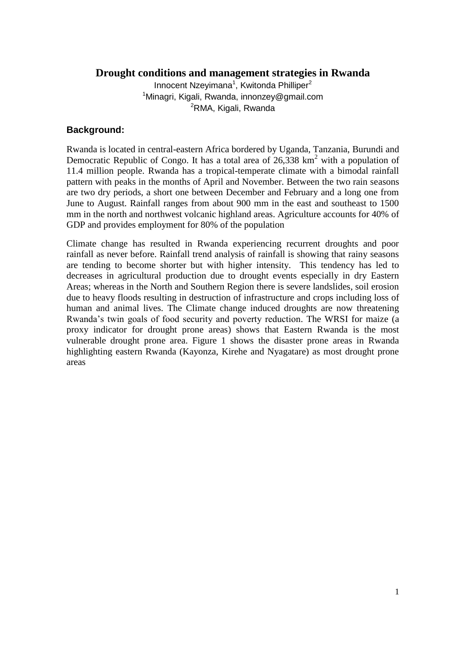### **Drought conditions and management strategies in Rwanda**

Innocent Nzeyimana<sup>1</sup>, Kwitonda Philliper<sup>2</sup> <sup>1</sup>Minagri, Kigali, Rwanda, innonzey@gmail.com <sup>2</sup>RMA, Kigali, Rwanda

#### **Background:**

Rwanda is located in central-eastern Africa bordered by Uganda, Tanzania, Burundi and Democratic Republic of Congo. It has a total area of  $26.338 \text{ km}^2$  with a population of 11.4 million people. Rwanda has a tropical-temperate climate with a bimodal rainfall pattern with peaks in the months of April and November. Between the two rain seasons are two dry periods, a short one between December and February and a long one from June to August. Rainfall ranges from about 900 mm in the east and southeast to 1500 mm in the north and northwest volcanic highland areas. Agriculture accounts for 40% of GDP and provides employment for 80% of the population

Climate change has resulted in Rwanda experiencing recurrent droughts and poor rainfall as never before. Rainfall trend analysis of rainfall is showing that rainy seasons are tending to become shorter but with higher intensity. This tendency has led to decreases in agricultural production due to drought events especially in dry Eastern Areas; whereas in the North and Southern Region there is severe landslides, soil erosion due to heavy floods resulting in destruction of infrastructure and crops including loss of human and animal lives. The Climate change induced droughts are now threatening Rwanda's twin goals of food security and poverty reduction. The WRSI for maize (a proxy indicator for drought prone areas) shows that Eastern Rwanda is the most vulnerable drought prone area. Figure 1 shows the disaster prone areas in Rwanda highlighting eastern Rwanda (Kayonza, Kirehe and Nyagatare) as most drought prone areas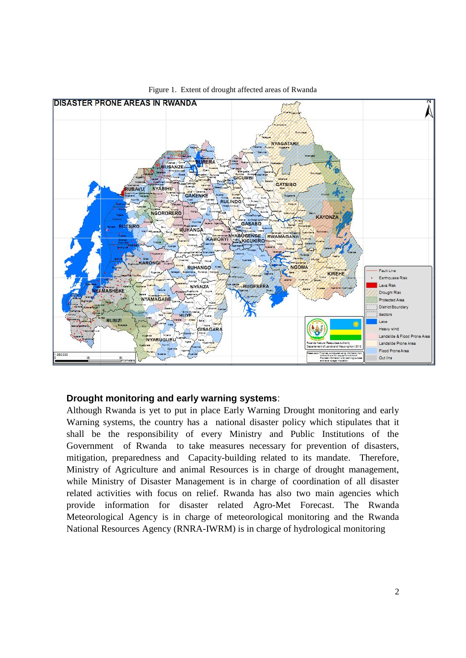

Figure 1. Extent of drought affected areas of Rwanda

### **Drought monitoring and early warning systems**:

Although Rwanda is yet to put in place Early Warning Drought monitoring and early Warning systems, the country has a national disaster policy which stipulates that it shall be the responsibility of every Ministry and Public Institutions of the Government of Rwanda to take measures necessary for prevention of disasters, mitigation, preparedness and Capacity-building related to its mandate. Therefore, Ministry of Agriculture and animal Resources is in charge of drought management, while Ministry of Disaster Management is in charge of coordination of all disaster related activities with focus on relief. Rwanda has also two main agencies which provide information for disaster related Agro-Met Forecast. The Rwanda Meteorological Agency is in charge of meteorological monitoring and the Rwanda National Resources Agency (RNRA-IWRM) is in charge of hydrological monitoring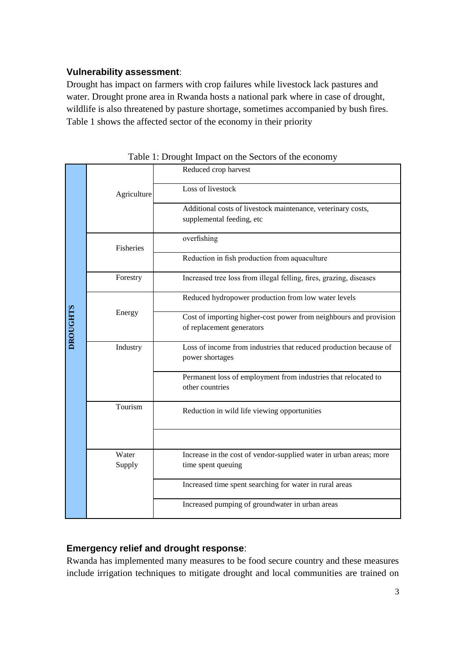### **Vulnerability assessment**:

Drought has impact on farmers with crop failures while livestock lack pastures and water. Drought prone area in Rwanda hosts a national park where in case of drought, wildlife is also threatened by pasture shortage, sometimes accompanied by bush fires. Table 1 shows the affected sector of the economy in their priority

| <b>DROUGHTS</b> | Agriculture     | Reduced crop harvest                                                                           |
|-----------------|-----------------|------------------------------------------------------------------------------------------------|
|                 |                 | Loss of livestock                                                                              |
|                 |                 | Additional costs of livestock maintenance, veterinary costs,<br>supplemental feeding, etc      |
|                 | Fisheries       | overfishing                                                                                    |
|                 |                 | Reduction in fish production from aquaculture                                                  |
|                 | Forestry        | Increased tree loss from illegal felling, fires, grazing, diseases                             |
|                 | Energy          | Reduced hydropower production from low water levels                                            |
|                 |                 | Cost of importing higher-cost power from neighbours and provision<br>of replacement generators |
|                 | Industry        | Loss of income from industries that reduced production because of<br>power shortages           |
|                 |                 | Permanent loss of employment from industries that relocated to<br>other countries              |
|                 | Tourism         | Reduction in wild life viewing opportunities                                                   |
|                 |                 |                                                                                                |
|                 | Water<br>Supply | Increase in the cost of vendor-supplied water in urban areas; more<br>time spent queuing       |
|                 |                 | Increased time spent searching for water in rural areas                                        |
|                 |                 | Increased pumping of groundwater in urban areas                                                |

Table 1: Drought Impact on the Sectors of the economy

### **Emergency relief and drought response**:

Rwanda has implemented many measures to be food secure country and these measures include irrigation techniques to mitigate drought and local communities are trained on